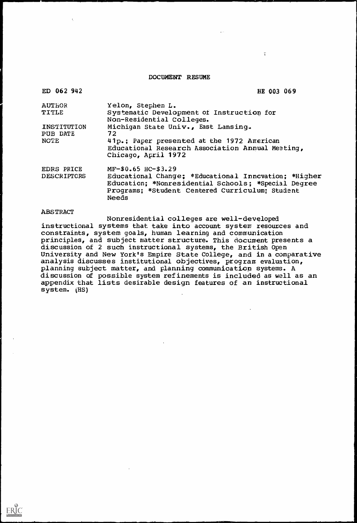#### ABSTRACT

 $\mathbf{r}_i$ 

#### DOCUMENT RESUME

 $\mathcal{L}^{\mathcal{L}}$ 

| ED 062 942                       | HE 003 069                                                                                                                                                                                              |
|----------------------------------|---------------------------------------------------------------------------------------------------------------------------------------------------------------------------------------------------------|
| <b>AUTHOR</b>                    | Yelon, Stephen L.                                                                                                                                                                                       |
| TITLE                            | Systematic Development of Instruction for<br>Non-Residential Colleges.                                                                                                                                  |
| INSTITUTION<br>PUB DATE          | Michigan State Univ., East Lansing.<br>72                                                                                                                                                               |
| <b>NOTE</b>                      | 41p.; Paper presented at the 1972 American<br>Educational Research Association Annual Meeting,<br>Chicago, April 1972                                                                                   |
| EDRS PRICE<br><b>DESCRIPTORS</b> | $MF-$0.65$ $HC-$3.29$<br>Educational Change; *Educational Innovation; *Higher<br>Education; *Nonresidential Schools; *Special Degree<br>Programs; *Student Centered Curriculum; Student<br><b>Needs</b> |

Nonresidential colleges are well-developed instructional systems that take into account system resources and constraints, system goals, human learning and communication principles, and subject matter structure. This document presents a discussion of 2 such instructional systems, the British Open University and New York's Empire State College, and in a comparative analysis discusses institutional objectives, program evaluation, planning subject matter, and planning communication systems. A discussion of possible system refinements is included as well as an appendix that lists desirable design features of an instructional system. (HS)

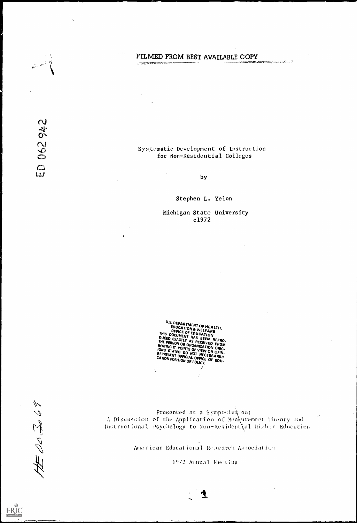# FILMED FROM BEST AVAILABLE COPY

 $\tilde{\xi}_i$ 

### Systematic Development of the Colleges of the System of the Board Colleges of the System of the Board of the S for Non-Residential Colleges

by

Stephen L. Yelon

Michigan State University c1972

 $\lambda$ 

U.S. DEPARTMENT OF HEALTH,<br>
EDUCATION & WELFARE<br>
DEFICE OF EDUCATION<br>
DUCED EXACTLY AS BEEN REPRO.<br>
THE PERSON OR ORGANIZATION FROM<br>
INATING IT OR ORGANIZATION FROM **THAING IT. POINTS OF VIEW OR OPIN-**<br>IONS STATED DO NOT NEW OR OPIN-<br>REPRESENT OFTO NOT NECESSARILLY NET NESENT OFFICIAL OFFICE OF EDU-<br>CATION POSITION OR POLICY.

> $\mathcal{L}$  $\frac{1}{\sqrt{2}}$

 $\sqrt[3]{\frac{1}{2}}$ 

 $\frac{1}{\sqrt{2\pi}}\sqrt{2}\sqrt{2\pi}\approx 0.$ 

procedure or the np Instructional sychology to Non-Resident (al Digieri Buddation presented at a Symposium ou: of the Application or Neakurement Theory and

American Educational Research Association

1972 Annual Mecting

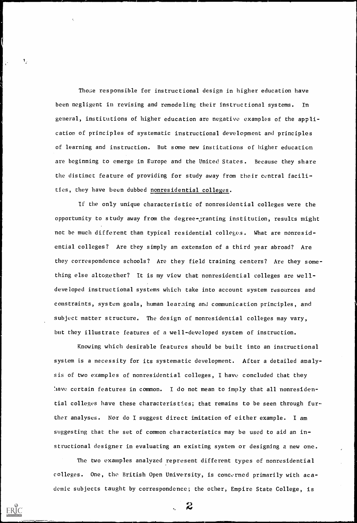Those responsible for instructional design in higher education have been negligent in revising and remodeling their instructional systems. In general, institutions of higher education are negative examples of the application of principles of systematic instructional development and principles of learning and instruction. But some new institutions of higher education are beginning to emerge in Europe and the United States. Because they share the distinct feature of providing for study away from their central facilities, they have been dubbed nonresidential colleges.

ŧ.

 $\mathbf{I}_{\mu}$ 

Knowing which desirable features should be built into an instructional system is a necessity for its systematic development. After a detailed analysis of two examples of nonresidential colleges, I have concluded that they !lave certain features in common. I do not mean to imply that all nonresidential colleges have these characteristics; that remains to be seen through fur-

If the only unique characteristic of nonresidential colleges were the opportunity to study away from the degree-granting institution, results might not be much different than typical residential colleges. What are nonresidential colleges? Are they simply an extension of a third year abroad? Are they correspondence schools? Are they field training centers? Are they something else altogether? It is my view that nonresidential colleges are welldeveloped instructional systems which take into account system resources and constraints, system goals, human learaing and communication principles, and subject matter structure. The design of nonresidential colleges may vary, but they illustrate features of a well-developed system of instruction.

ther analyses. Nor do I suggest direct imitation of either example. I am suggesting that the set of common characteristics may be used to aid an instructional designer in evaluating an existing system or designing a new one. The two examples analyzed represent different types of nonresidential colleges. One, the British Open University, is concerned primarily with academic subjects taught by correspondence; the other, Empire State College, is

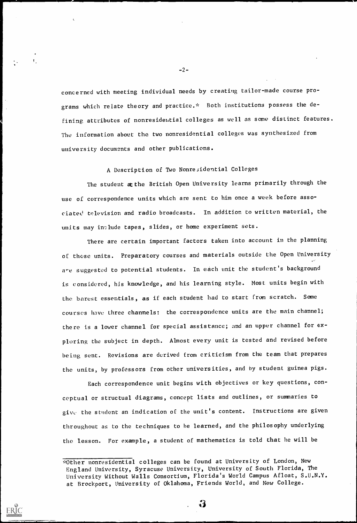-2-

concerned with meeting individual needs by creating tailor-made course programs which relate theory and practice.\* Both institutions possess the defining attributes of nonresidential colleges as well as some distinct features. The information about the two nonresidential colleges was synthesized from university documents and other publications.

A Description of Two Nonresidential Colleges

The student at the British Open University learns primarily through the use of correspondence units which are sent to him once a week before associated television and radio broadcasts. In addition to written material, the units may include tapes, slides, or home experiment sets.

There are certain important factors taken into account in the planning of these units. Preparatory courses and materials outside the Open University are suggested to potential students. In each unit the student's background is considered, his knowledge, and his learning style. Most units begin with the barest essentials, as if each student had to start from scratch. Some courses have three channels: the correspondence units are the main channel; there is a lower channel for special assistance; and an upper channel for exploring the subject in depth. Almost every unit is tested and revised before being sent. Revisions are derived from criticism from the team that prepares the units, by professors from other universities, and by student guinea pigs.

Each correspondence unit begins with objectives or key questions, conceptual or structual diagrams, concept lists and outlines, or summaries to

give the sbident an indication of the unit's content. Instructions are given

throughout as to the techniques to be learned, and the philosophy underlying

the lesson. For example, a student of mathematics is told that he will be

 $\ddot{\bullet}$ 



 $\mathbf{I}$ 

<sup>\*</sup>Other nonresidential colleges can be found at University of London, New England University, Syracuse University, University of South Florida, The University Without Walls Consortium, Florida's World Campus Afloat, S.U.N.Y. at Brockport, University of Oklahoma, Friends World, and New College.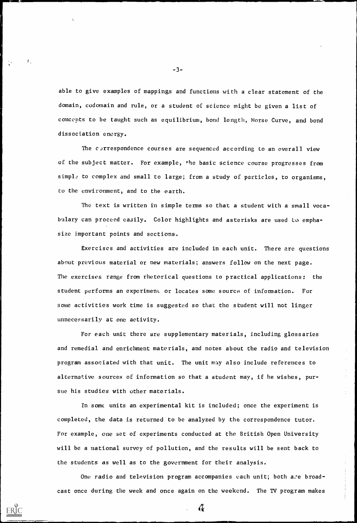-3-

 $\mathbf{I}_{\infty}$ 

able to give examples of mappings and functions with a clear statement of the domain, codomain and rule, or a student of science might be given a list of concepts to be taught such as equilibrium, bond length, Morse Curve, and bond dissociation energy.

The currespondence courses are sequenced according to an overall view of the subject matter. For example, the basic science course progresses from simple to complex and small to large; from a study of particles, to organisms, to the environment, and to the earth.

The text is written in simple terms so that a student with a small vocabulary can proceed easily. Color highlights and asterisks are used to emphasize important points and sections.

Exercises and activities are included in each unit. There are questions about previous material or new materials; answers follow on the next page. The exercises range from rhetorical questions to practical applications: the student performs an experiment or locates some source of information. For some activities work time is suggested so that the student will not linger unnecessarily at one activity.

For each unit there are supplementary materials, including glossaries and remedial and enrichment materials, and notes about the radio and television program associated with that unit. The unit may also include references to alternative sources of information so that a student may, if he wishes, pursue his studies with other materials.

In some units an experimental kit is included; once the experiment is

completed, the data is returned to be analyzed by the correspondence tutor.

For example, one set of experiments conducted at the British Open University

will be a national survey of pollution, and the results will be sent back to

the students as well as to the government for their analysis.

One radio and television program accompanies each unit; both are broad-

 $\mathcal{L}_{\mathbf{t}}$ 

cast once during the week and once again on the weekend. The TV program makes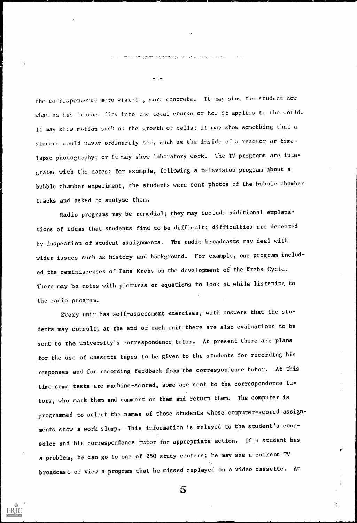المستبا الهجسج وومجوجه والوارا لحيل النيح العليجا

 $\rightarrow$   $\rightarrow$ 

the correspondence more visible, more concrete. It may show the student how what he has learned fits into the total course or how it applies to the world. It may show motion such as the growth of cells; it may show something that a student could never ordinarily see, such as the inside of a reactor or timelapse photography; or it may show laboratory work. The TV programs are integrated with the notes; for example, following a television program about a bubble chamber experiment, the students were sent photos of the bubble chamber tracks and asked to analyze them.

Radio programs may be remedial; they may include additional explanations of ideas that students find to be difficult; difficulties are detected by inspection of student assignments. The radio broadcasts may deal with wider issues such as history and background. For example, one program included the reminiscenses of Hans Krebs on the development of the Krebs Cycle. There may be notes with pictures or equations to look at while listening to the radio program.

Every unit has self-assessment exercises, with answers that the students may consult; at the end of each unit there are also evaluations to be sent to the university's correspondence tutor. At present there are plans for the use of cassette tapes to be given to the students for recording his responses and for recording feedback from the correspondence tutor. At this time some tests are machine-scored, some are sent to the correspondence tutors, who mark them and comment on them and return them. The computer is

programmed to select the names of those students whose computer-scored assign-

ments show a work slump. This information is relayed to the student's coun-

selor and his correspondence tutor for appropriate action. If a student has

a problem, he can go to one of 250 study centers; he may see a current TV

broadcast or view a program that he missed replayed on a video cassette. At



 $\mathbf{I}_{\mathbf{A}}$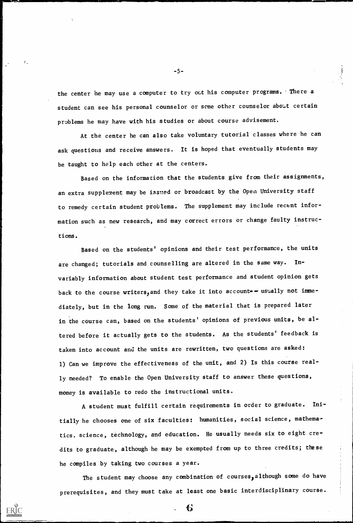-5-

tially he chooses one of six faculties: humanities, social science, mathema-

tics, science, technology, and education. He usually needs six to eight cre-

the center he may use a computer to try out his computer programs. There a student can see his personal counselor or scme other counselor about certain problems he may have with his studies or about course advisement.

At the center he can also take voluntary tutorial classes where he can ask questions and receive answers. It is hoped that eventually students may be taught to help each other at the centers.

Based on the information that the students give from their assignments, an extra supplement may be issued or broadcast by the Open University staff to remedy certain student problems. The supplement may include recent information such as new research, and may correct errors or change faulty instructions.

Based on the students' opinions and their test performance, the units are changed; tutorials and counselling are altered in the same way. Invariably information about student test performance and student opinion gets back to the course writers, and they take it into account-- usually not immediately, but in the long run. Some of the material that is prepared later in the course can, based on the students' opinions of previous units, be altered before it actually gets to the students. As the students' feedback is taken into account and the units are rewritten, two questions are asked: 1) Can we improve the effectiveness of the unit, and 2) Is this course really needed? To enable the Open University staff to answer these questions, money is available to redo the instructional units.

. student must fulfill certain requirements in order to graduate. Ini-

dits to graduate, although he may be exempted from up to three credits; these

he compiles by taking two courses a year.

The student may choose any combination of courses, although some do have

prerequisites, and they must take at least one basic interdisciplinary course.

€



 $\mathcal{L}_{\mathcal{A}}$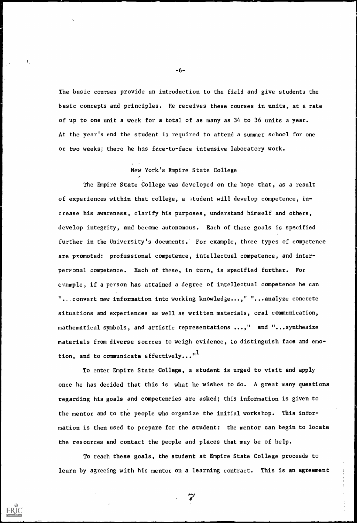-6-

The basic courses provide an introduction to the field and give students the basic concepts and principles. He receives these courses in units, at a rate of up to one unit a week for a total of as many as 34 to 36 units a year. At the year's end the student is required to attend a summer school for one or two weeks; there he has face-to-face intensive laboratory work.

The Empire State College was developed on the hope that, as a result of experiences within that college, a ;tudent will develop competence, increase his awareness, clarify his purposes, understand himself and others, develop integrity, and become autonomous. Each of these goals is specified further in the University's documents. For example, three types of competence are promoted: professional competence, intellectual competence, and interpersonal competence. Each of these, in turn, is specified further. For example, if a person has attained a degree of intellectual competence he can "...convert new information into working knowledge...," "...analyze concrete situations and experiences as well as written materials, oral communication, mathematical symbols, and artistic representations ...," and "...synthesize materials from diverse sources to weigh evidence, to distinguish face and emotion, and to communicate effectively..." $1$ 

## New York's Empire State College

To enter Empire State College, a student is urged to visit and apply once he has decided that this is what he wishes to do. A great many questions regarding his goals and competencies are asked; this information is given to

the mentor and to the people who organize the initial workshop. This infor-

mation is then used to prepare for the student: the mentor can begin to locate

the resources and contact the people and places that may be of help.

To reach these goals, the student at Empire State College proceeds to

learn by agreeing with his mentor on a learning contract. This is an agreement

fr."



τ,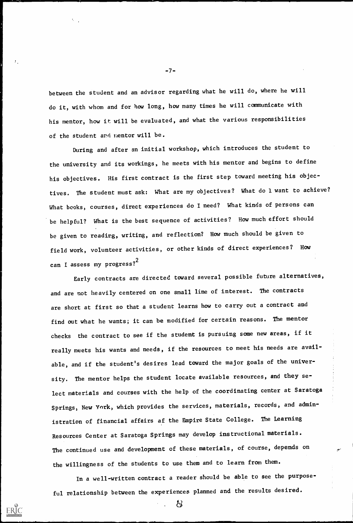between the student and an advisor regarding what he will do, where he will do it, with whom and for how long, how many times he will communicate with his mentor, how it will be evaluated, and what the various responsibilities of the student ard nentor will be.

During and after an initial workshop, which introduces the student to the university and its workings, he meets with his mentor and begins to define his objectives. His first contract is the first step toward meeting his objectives. The student must ask: What are my objectives? What do 1 want to achieve? What books, courses, direct experiences do I need? What kinds of persons can be helpful? What is the best sequence of activities? How much effort should be given to reading, writing, and reflection? How much should be given to field work, volunteer activities, or other kinds of direct experiences? How can I assess my progress? $^{\mathrm{2}}$ 

Early contracts are directed toward several possible future alternatives, and are not heavily centered on one small line of interest. The contracts are short at first so that a student learns how to carry out a contract and find out what he wants; it can be modified for certain reasons. The mentor checks the contract to see if the student is pursuing some new areas, if it really meets his wants and needs, if the resources to meet his needs are available, and if the student's desires lead toward the major goals of the university. The mentor helps the student locate available resources, and they select materials and courses with the help of the coordinating center at Saratoga Springs, New York, which provides the services, materials, records, and admin-

 $-7-$ 

istration of financial affairs af the Empire State College. The Learning

Resources Center at Saratoga Springs may develop instructional materials.

The continued use and development of these materials, of course, depends on

the willingness of the students to use them and to learn from them.

In a well-written contract a reader should be able to see the purpose-

ful relationship between the experiences planned and the results desired.

 $\mathcal{L}$ 



У,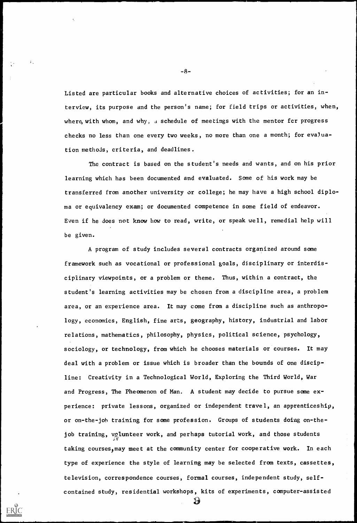-8-

Listed are particular books and alternative choices of activities; for an interview, its purpose and the person's name; for field trips or activities, when, where, with whom, and why,  $\alpha$  schedule of meetings with the mentor for progress checks no less than one every two weeks, no more than one a month; for evaluation methods, criteria, and deadlines.

A program of study includes several contracts organized around some framework such as vocational or professional goals, disciplinary or interdisciplinary viewpoints, or a problem or theme. Thus, within a contract, the student's learning activities may be chosen from a discipline area, a problem area, or an experience area. It may come from a discipline such as anthropology, economics, English, fine arts, geography, history, industrial and labor relations, mathematics, philosophy, physics, political science, psychology, sociology, or technology, from which he chooses materials or courses. It may deal with a problem or issue which is broader than the bounds of one discipline: Creativity in a Technological World, Exploring the Third World, War and Progress, The Pheomenon of Man. A student may decide to pursue some experience: private lessons, organized or independent travel, an apprenticeship,

The contract is based on the student's needs and wants, and on his prior learning which has been documented and evaluated. Some of his work may be transferred from another university or college; he may have a high school diploma or equivalency exam; or documented competence in some field of endeavor. Even if he does not know how to read, write, or speak well, remedial help will be given.

or on-the-joh training for some profession. Groups of students doing on-the-

job training, valunteer work, and perhaps tutorial work, and those students

taking courses, may meet at the community center for cooperative work. In each

type of experience the style of learning may be selected from texts, cassettes,

television, correspondence courses, formal courses, independent study, self-

contained study, residential workshops, kits of experiments, computer-assisted

59



 $V_{\rm{in}}$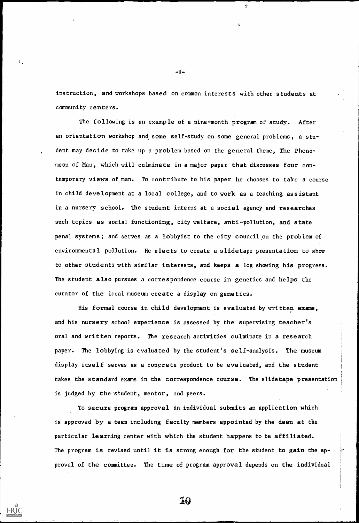-9-

instruction, and workshops based on common interests with other students at community centers.

 $\mathbf{c}$ 

The following is an example of a nine-month program of study. After an orientation workshop and some self-study on some general problems, a student may decide to take up a problem based on the general theme, The Phenomeon of Man, which will culminate in a major paper that discusses four contemporary views of man. To contribute to his paper he chooses to take a course in child development at a local college, and to work as a teaching assistant in a nursery school. The student interns at a social agency and researches such topics as social functioning, city welfare, anti-pollution, and state penal systems; and serves as a lobbyist to the city council on the problem of environmental pollution. He elects to create a slidetape presentation to show to other students with similar interests, and keeps a log showing his progress. The student also pursues a correspondence course in genetics and helps the curator of the local museum create a display on genetics.

His formal course in child development is evaluated by written exams, and his nursery school experience is assessed by the supervising teacher's oral and written reports. The research activities culminate in a research paper. The lobbying is evaluated by the student's self-analysis. The museum display itself serves as a concrete product to be evaluated, and the student takes the standard exams in the correspondence course. The slidetape presentation is judged by the student, mentor, and peers.

To secure program approval an individual submits an application which

is approved by a team including faculty members appointed by the dean at the

particular learning center with which the student happens to be affiliated.

The program is revised until it is strong enough for the student to gain the ap-

proval of the committee. The t ime of program approval depends on the individual





٠.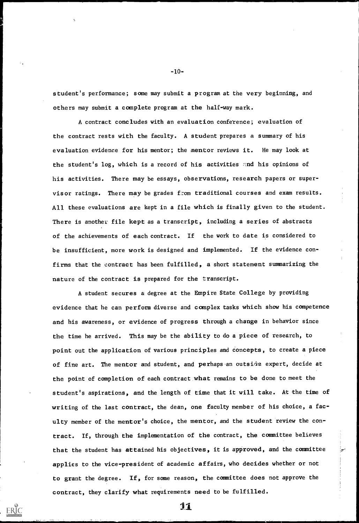-10-

student's performance; some may submit a program at the very beginning, and others may submit a complete program at the half-way mark.

A student secures a degree at the Empire State College by providing evidence that he can perform diverse and complex tasks which show his competence and his awareness, or evidence of progress through a change in behavior since the time he arrived. This may be the ability to do a piece of research, to point out the application of various principles and concepts, to create a piece of fine art. The mentor and student, and perhaps an outside expert, decide at the point of completion of each contract what remains to be done to meet the student's aspirations, and the length of time that it will take. At the time of riting of the last contract, the dean, one faculty member of his choice, a fac-

A contract concludes with an evaluation conference; evaluation of the contract rests with the faculty. A student prepares a summary of his evaluation evidence for his mentor; the mentor reviews it. He may look at the student's log, which is a record of his activities and his opinions of his activities. There may be essays, observations, research papers or supervisor ratings. There may be grades from traditional courses and exam results. All these evaluations are kept in a file which is finally given to the student. There is another file kept as a transcript, including a series of abstracts of the achievements of each contract. If the work to date is considered to be insufficient, more work is designed and implemented. If the evidence confirms that the contract has been fulfilled, a short statement summarizing the nature of the contract is prepared for the transcript.

ulty member of the mentor's choice, the mentor, and the student review the con-

tract. If, through the implementation of the contract, the committee believes

that the student has attained his objectives, it is approved, and the committee

applies to the vice-president of academic affairs, who decides whether or not

to grant the degree. If, for some reason, the committee does not approve the

contract, they clarify what requirements need to be fulfilled.<br>**i**i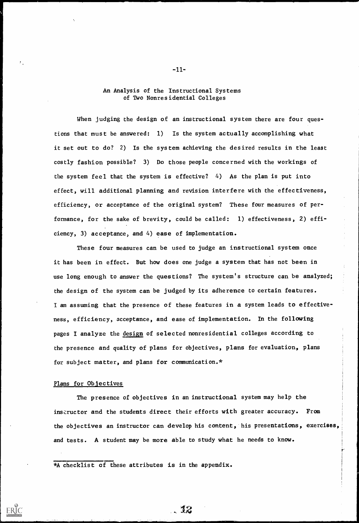#### An Analysis of the Instructional System of Two Nonresidential Colleges

When judging the design of an instructional system there are four questions that must be answered: 1) Is the system actually accomplishing what it set out to do? 2) Is the system achieving the desired results in the least costly fashion possible? 3) Do those people concerned with the workings of the system feel that the system is effective? 4) As the plan is put into effect, will additional planning and revision interfere with the effectiveness, efficiency, or acceptance of the original system? These four measures of performance, for the sake of brevity, could be called: 1) effectiveness, 2) efficiency, 3) acceptance, and 4) ease of implementation.

These four measures can be used to judge an instructional system once it has been in effect. But how does one judge a system that has not been in use long enough to answer the questions? The system's structure can be analyzed; the design of the system can be judged by its adherence to certain features. I am assuming that the presence of these features in a system leads to effectiveness, efficiency, acceptance, and ease of implementation. In the following pages I analyze the design of selected nonresidential colleges according to the presence and quality of plans for objectives, plans for evaluation, plans for subject matter, and plans for communication. $*$ 

#### Plans for Objectives

The presence of objectives in an instructional system may help the

 $-11-$ 

insi:ructor and the students direct their efforts with greater accuracy. From

the objectives an instructor can develop his content, his presentations, exercises,

and tests. A student may be more able to study what he needs to know.

. *10* 



Τ.

<sup>\*</sup>A checklist of these attributes is in the appendix.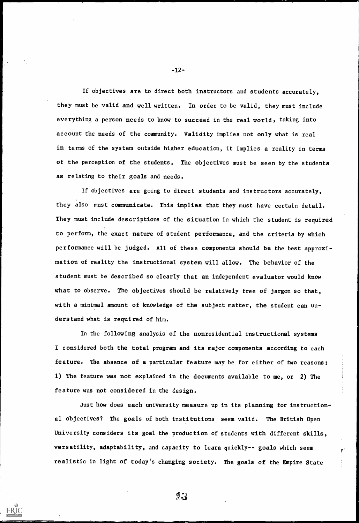-12-

If objectives are to direct both instructors and students accurately, they must be valid and well written. In order to be valid, they must include everything a person needs to know to succeed in the real world, taking into account the needs of the community. Validity implies not only what is real in terms of the system outside higher education, it implies a reality in terms of the perception of the students. The objectives must be seen by the students as relating to their goals and needs.

If objectives are going to direct students and instructors accurately, they also must communicate. This implies that they must have certain detail. They must include descriptions of the situation in which the student is required to perform, the exact nature of student performance, and the criteria by which performance will be judged. All of these components should be the best approximation of reality the instructional system will allow. The behavior of the student must be described so clearly that an independent evaluator would know what to observe. The objectives should be relatively free of jargon so that, with a minimal amount of knowledge of the subject matter, the student can understand what is required of him.

In the following analysis of the nonresidential instructional systems I considered both the total program and its major components according to each feature. The absence of a particular feature may be for either of two reasons: 1) The feature was not explained in the documents available to me, or 2) The feature was not considered in the design.

Just how does each university measure up in its planning for instruction-

al objectives? The goals of both institutions seem valid. The British Open University considers its goal the production of students with different skills, versatility, adaptability, and capacity to learn quickly-- goals which seem

realistic in light of today's changing society. The goals of the Empire State

 $7.3$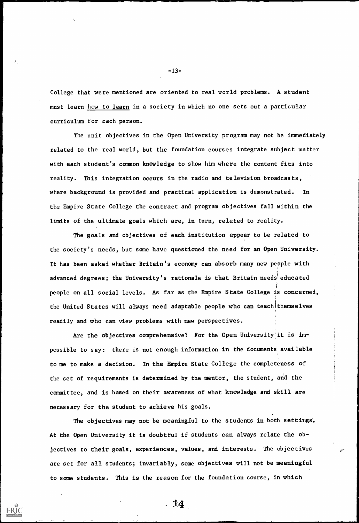College that were mentioned are oriented to real world problems. A student must learn how to learn in a society in which no one sets out a particular curriculum for cach person.

The unit objectives in the Open University program may not be immediately related to the real world, but the foundation courses integrate subject matter with each student's common knowledge to show him where the content fits into reality. This integration occurs in the radio and television broadcasts, where background is provided and practical application is demonstrated. In the Empire State College the contract and program objectives fall within the limits of the ultimate goals which are, in turn, related to reality.

The goals and objectives of each institution appear to be related to the society's needs, but some have questioned the need for an Open University. It has been asked whether Britain's economy can absorb many new people with advanced degrees; the University's rationale is that Britain needs educated people on all social levels. As far as the Empire State College is concerned, the United States will always need adaptable people who can teachlthemselves readily and who can view problems with new perspectives.

Are the objectives comprehensive? For the Open University it is impossible to say: there is not enough information in the documents available to me to make a decision. In the Empire State College the completeness of the set of requirements is determined by the mentor, the student, and the committee, and is based on their awareness of what knowledge and skill are necessary for the student to achieve his goals.

 $-13-$ 

The objectives may not be meaningful to the students in both settings.

At the Open University it is doubtful if students can always relate the ob-

jectives to their goals, experiences, values, and interests. The objectives

are set for all students; invariably, some objectives will not be meaningful

to some students. This is the reason for the foundation course, in which

 $. 14$ 



 $\mathbf{f}$  .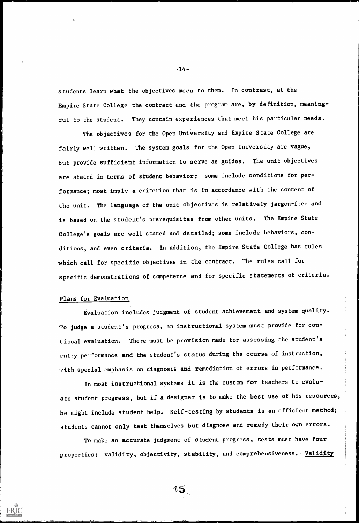students learn what the objectives mean to them. In contrast, at the Empire State College the contract and the program are, by definition, meaningful to the student. They contain experiences that meet his particular needs.

Evaluation includes judgment of student achievement and system quality. To judge a student's progress, an instructional system must provide for continual evaluation. There must be provision made for assessing the student's entry performance and the student's status during the course of instruction, with special emphasis on diagnosis and remediation of errors in performance.

The objectives for the Open University and Empire State College are fairly well written. The system goals for the Open University are vague, but provide sufficient information to serve as guides. The unit objectives are stated in terms of student behavior: some include conditions for performance; most imply a criterion that is in accordance with the content of the unit. The language of the unit objectives is relatively jargon-free and is based on the student's prerequisites from other units. The Empire State College's goals are well stated and detailed; some include behaviors, conditions, and even criteria. In addition, the Empire State College has rules<br>which call for specific objectives in the contract. The rules call for<br>specific demonstrations of competence and for specific statements of criter which call for specific objectives in the contract. The rules call for specific demonstrations of competence and for specific statements of criteria.

In most instructional systems it is the custom for teachers to evaluate student progress, but if a designer is to make the best use of his resources,

 $-14-$ 

#### Plans for Evaluation

he might include student help. Self-testing by students is an efficient method;

students cannot only test themselves but diagnose and remedy their own errors.

To make an accurate judgment of student progress, tests must have four

properties: validity, objectivity, stability, and comprehensiveness. Validity





 $\mathcal{F}_{\mathcal{A}}$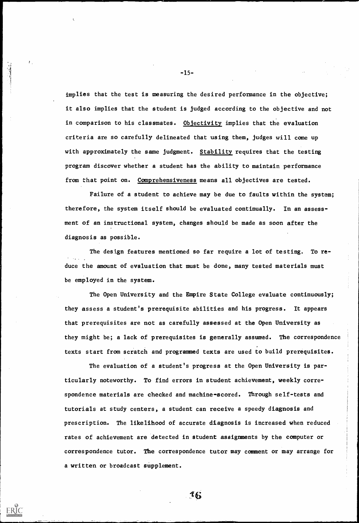-15-

 $\pmb{I}$  .

implies that the test is measuring the desired performance in the objective; it also implies that the student is judged according to the objective and not in comparison to his classmates. Objectivity implies that the evaluation criteria are so carefully delineated that using them, judges will come up with approximately the same judgment. Stability requires that the testing program discover whether a student has the ability to maintain performance from that point on. Comprehensiveness means all objectives are tested.

Failure of a student to achieve may be due to faults within the system; therefore, the system itself should be evaluated continually. In an assessment of an instructional system, changes should be made as soon after the diagnosis as possible.

The design features mentioned so far require a lot of testing. To reduce the amount of evaluation that must be done, many tested materials must be employed in the system.

The Open University and the Empire State College evaluate continuously; they assess a student's prerequisite abilities and his progress. It appears that prerequisites are not as carefully assessed at the Open University as they might be; a lack of prerequisites is generally assumed. The correspondence texts start from scratch and programmed texts are used to build prerequisites.

The evaluation of a student's progress at the Open University is particularly noteworthy. To find errors in student achievement, weekly correspondence materials are checked and machine-scored. Through self-tests and

tutorials at study centers, a student can receive a speedy diagnosis and

prescription. The likelihood of accurate diagnosis is increased when reduced

rates of achievement are detected in student assignments by the computer or

correspondence tutor. The correspondence tutor may comment or may arrange for

a written or broadcast supplement.



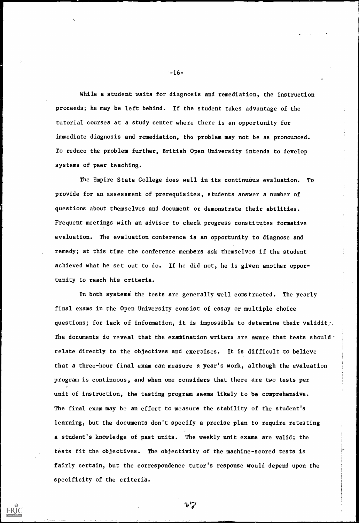-16-

The final exam may be an effort to measure the stability of the student's

While a student waits for diagnosis and remediation, the instruction proceeds; he may be left behind. If the student takes advantage of the tutorial courses at a study center where there is an opportunity for immediate diagnosis and remediation, the problem may not be as pronounced. To reduce the problem further, British Open University intends to develop systems of peer teaching.

The Empire State College does well in its continuous evaluation. To provide for an assessment of prerequisites, students answer a number of questions about themselves and document or demonstrate their abilities. Frequent meetings with an advisor to check progress constitutes formative evaluation. The evaluation conference is an opportunity to diagnose and remedy; at this time the conference members ask themselves if the student achieved what he set out to do. If he did not, he is given another opportunity to reach his criteria.

In both systems the tests are generally well constructed. The yearly final exams in the Open University consist of essay or multiple choice questions; for lack of information, it is impossible to determine their validity. The documents do reveal that the examination writers are aware that tests should  $\cdot$ relate directly to the objectives and exerzises. It is difficult to believe that a three-hour final exam can measure R year's work, although the evaluation program is continuous, and when one considers that there are two tests per unit of instruction, the testing program seems likely to be comprehensive.

learning, but the documents don't specify a precise plan to require retesting

a student's knowledge of past units. The weekly unit exams are valid; the

tests fit the objectives. The objectivity of the machine-scored tests is

fairly certain, but the correspondence tutor's response would depend upon the specificity of the criteria.



 $\mathbf{F}$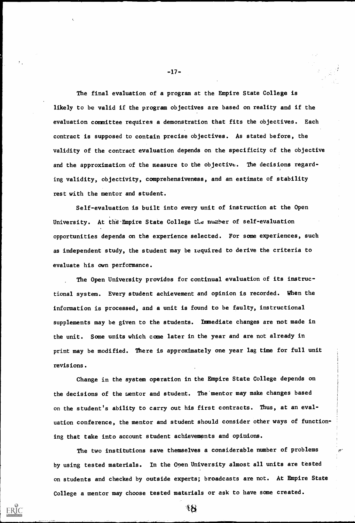-17-

The final evaluation of a program at the Empire State College is likely to be valid if the program objectives are based on reality and if the evaluation committee requires a demonstration that fits the objectives. Each contract is supposed to contain precise objectives. As stated before, the validity of the contract evaluation depends on the specificity of the objective and the approximation of the measure to the objective. The decisions regarding validity, objectivity, comprehensiveness, and an estimate of stability rest with the mentor and student.

Self-evaluation is built into every unit of instruction at the Open University. At the Empire State College the number of self-evaluation opportunities depends on the experience selected. For some experiences, such as independent study, the student may be required to derive the criteria to evaluate his own performance.

The Open University provides for continual evaluation of its instructional system. Every student achievement and opinion is recorded. When the information is processed, and a unit is found to be faulty, instructional supplements may be given to the students. Immediate changes are not made in the unit. Some units which come later in the year and are not already in print may be modified. There is approximately one year lag time for full unit revisions.

Change in the system operation in the Empire State College depends on the decisions of the mentor and student. The'mentor may make changes based on the student's ability to carry out his first contracts. Thus, at an eval-

uation conference, the mentor and student should consider other ways of function-

ing that take into account student achievements and opinions.

The two institutions save themselves a considerable number of problems

by using tested materials. In the Open University almost all units are tested

on students and checked by outside experts; broadcasts are not. At Empire State

ી ડિ

College a mentor may choose tested materials or ask to have some created.



r'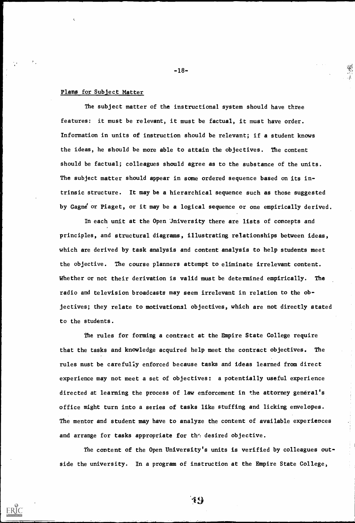-18-

The subject matter of the instructional system should have three features: it must be relevant, it must be factual, it must have order. Information in units of instruction should be relevant; if a student knows the ideas, he should be more able to attain the objectives. The content should be factual; colleagues should agree as to the substance of the units. The subject matter should appear in some ordered sequence based on its intrinsic structure. It may be a hierarchical sequence such as those suggested by Gagne' or Piaget, or it may be a logical sequence or one empirically derived.

#### Plans for Subject Matter

In each unit at the Open University there are lists of concepts and principles, and structural diagrams, illustrating relationships between ideas, which are derived by task analysis and content analysis to help students meet the objective. The course planners attempt to eliminate irrelevant content. Whether or not their derivation is valid must be determined empirically. The radio and television broadcasts may seem irrelevant in relation to the objectives; they relate to motivational objectives, which are not directly stated to the students.

The rules for forming a contract at the Empire State College require that the tasks and knowledge acquired help meet the contract objectives. The rules must be carefully enforced because tasks and ideas learned from direct experience may not meet a set of objectives: a potentially useful experience directed at learning the process of law enforcement in the attorney general's office might turn into a series of tasks like stuffing and licking envelopes.

The mentor and student may have to analyze the content of available experiences

and arrange for tasks appropriate for the desired objective.

The content of the Open University's units is verified by colleagues out-

side the university. In a program of instruction at the Empire State College,

 $i<sub>9</sub>$ 

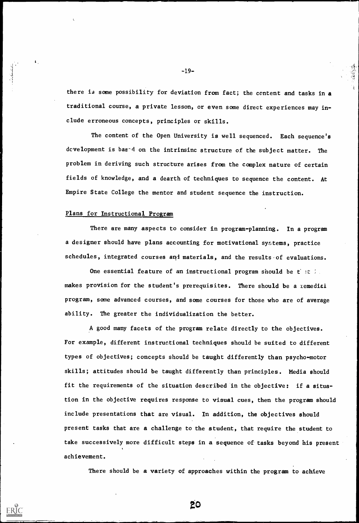-19-

there is some possibility for deviation from fact; the content and tasks in a traditional course, a private lesson, or even some direct experiences may include erroneous concepts, principles or skills.

The content of the Open University is well sequenced. Each sequence's dcvelopment is based on the intrinsinc structure of the subject matter. The problem in deriving such structure arises from the complex nature of certain fields of knowledge, and a dearth of techniques to sequence the content. At Empire State College the mentor and student sequence the instruction.

There are many aspects to consider in program-planning. In a program a designer should have plans accounting for motivational systems, practice schedules, integrated courses and materials, and the results of evaluations.

One essential feature of an instructional program should be that in makes provision for the student's prerequisites. There should be a remedial program, some advanced courses, and some courses for those who are of average ability. The greater the individualization the better.

#### Plans for Instructional Program

A good many facets of the program relate directly to the objectives. For example, different instructional techniques should be suited to different types of objectives; concepts should be taught differently than psycho-motor skills; attitudes should be taught differently than principles. Media should fit the requirements of the situation described in the objective: if a situation in the objective requires response to visual cues, then the program should

include presentations that are visual. In addition, the objectives should

present tasks that are a challenge to the student, that require the student to

take successively more difficult steps in a sequence of tasks beyond his present

achievement.

### There should be a variety of approaches within the program to achieve



 $\mathbf{L}$ 



to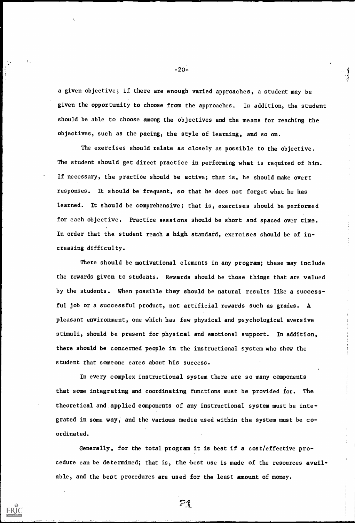-20-

a given objective; if there are enough varied approaches, a student may be given the opportunity to choose from the approaches. In addition, the student should be able to choose among the objectives and the means for reaching the objectives, such as the pacing, the style of learning, and so on.

The exercises should relate as closely as possible to the objective. The student should get direct practice in performing what is required of him. If necessary, the practice should be active; that is, he should make overt responses. It should be frequent, so that he does not forget what he has learned. It should be comprehensive; that is, exercises should be performed for each objective. Practice sessions should be short and spaced over time. In order that the student reach a high standard, exercises should be of increasing difficulty.

In every complex instructional system there are so many components that some integrating and coordinating functions must be provided for. The theoretical and applied components of any instructional system must be

There should be motivational elements in any program; these may include the rewards given to students. Rewards should be those things that are valued by the students. When possible they should be natural results like a successful job or a successful product, not artificial rewards such as grades. A pleasant environment, one which has few physical and psychological aversive stimuli, should be present for physical and emotional support. In addition, there should be concerned people in the instructional system who show the student that someone cares about his success.

grated in some way, and the various media used within the system must be coordinated.

Generally, for the total program it is best if a cost/effective pro-

cedure can be determined; that is, the best use is made of the resources avail-

able, and the best procedures are used for the least amount of money.

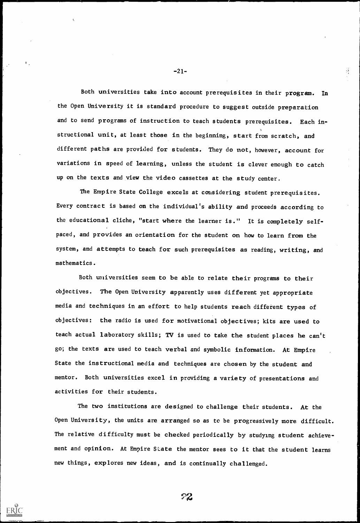Both universities take into account prerequisites in their program. In the Open University it is standard procedure to suggest outside preparation and to send programs of instruction to teach students prerequisites. Each instructional unit, at least those in the beginning, start from scratch, and different paths are provided for students. They do not, however, account for variations in speed of learning, unless the student is clever enough to catch up on the texts and view the video cassettes at the study center.

The Empire State College excels at considering student prerequisites. Every contract is based on the individual's ability and proceeds according to the educational cliche, "start where the learner is." It is completely selfpaced, and provides an orientation for the student on how to learn from the system, and attempts to teach for such prerequisites as reading, writing, and mathematics.

Both universities seem to be able to relate their programs to their objectives. The Open University apparently uses different yet appropriate media and techniques in an effort to help students reach different types of objectives: the radio is used for motivational objectives; kits are used to teach actual laboratory skills; TV is used to take the student places he can't go; the texts are used to teach verbal and symbolic information. At Empire State the instructional media and techniques are chosen by the student and mentor. Both universities excel in providing a variety of presentations and activities for their students.

The two institutions are designed to challenge their students. At the

 $-21-$ 

 $\mathcal{L}_{\mathcal{I}}$ 

Open University, the units are arranged so as to be progressively more difficult.

The relative difficulty must be checked periodically by studying student achieve-

ment and opinion. At Empire State the mentor sees to it that the student learns

new things, explores new ideas, and is continually challenged.





 $\mathbf{E}$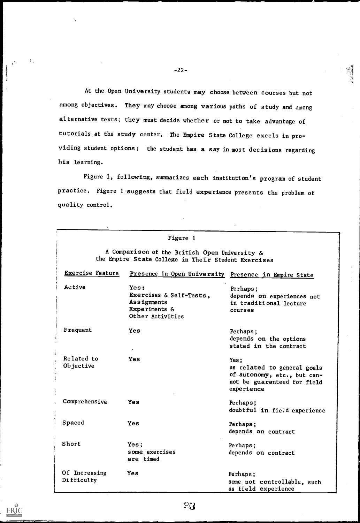At the Open University students may choose between courses but not among objectives. They may choose among various paths of study and among alternative texts; they must decide whether or not to take advantage of tutorials at the study center. The Empire State College excels in providing student options: the student has a say in most decisions regarding his learning.

Figure 1, following, summarizes each institution's program of student practice. Figure 1 suggests that field experience presents the problem of quality control.

|                                                                                                      | Figure 1                                                                            |                                                                                                                 |  |  |
|------------------------------------------------------------------------------------------------------|-------------------------------------------------------------------------------------|-----------------------------------------------------------------------------------------------------------------|--|--|
| A Comparison of the British Open University &<br>the Empire State College in Their Student Exercises |                                                                                     |                                                                                                                 |  |  |
| <b>Exercise Feature</b>                                                                              | Presence in Open University Presence in Empire State                                |                                                                                                                 |  |  |
| Active                                                                                               | Yes:<br>Exercises & Self-Tests,<br>Assignments<br>Experiments &<br>Other Activities | Perhaps;<br>depends on experiences not<br>in traditional lecture<br>courses                                     |  |  |
| Frequent                                                                                             | <b>Yes</b>                                                                          | Perhaps;<br>depends on the options<br>stated in the contract                                                    |  |  |
| Related to<br>Objective                                                                              | Yes                                                                                 | Yes;<br>as related to general goals<br>of autonomy, etc., but can-<br>not be guaranteed for field<br>experience |  |  |
| Comprehensive                                                                                        | <b>Yes</b>                                                                          | Perhaps;<br>doubtful in field experience                                                                        |  |  |
| <b>Spaced</b>                                                                                        | Yes                                                                                 | Perhaps;<br>depends on contract                                                                                 |  |  |
| Short                                                                                                | Yes;<br>some exercises<br>are timed                                                 | Perhaps;<br>depends on contract                                                                                 |  |  |
| Of Increasing<br>Difficulty                                                                          | <b>Yes</b>                                                                          | Perhaps;<br>some not controllable, such<br>as field experience                                                  |  |  |

 $-22-$ 

k,

 $\mathcal{F}_\infty$ 

 $\sum_{\lambda_{\text{full}}}\prod_{\text{total}}\prod_{\text{total}}$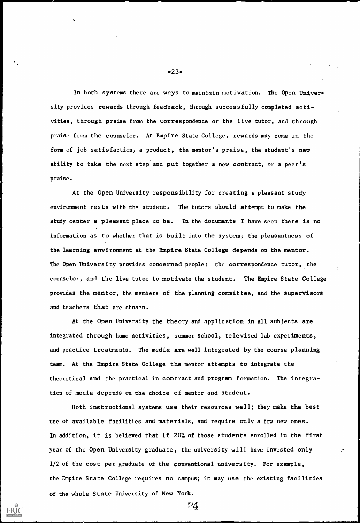-23-

In both systems there are ways to maintain motivation. The Open University provides rewards through feedback, through successfully completed activities, through praise from the correspondence or the live tutor, and through praise from the counselor. At Empire State College, rewards may come in the form of job satisfaction, a product, the mentor's praise, the student's new ability to take the next step and put together a new contract, or a peer's praise.

At the Open University the theory and application in all subjects are integrated through home activities, summer school, televised lab experiments, and practice treatments. The media are well integrated by the course planning team. At the Empire State College the mentor attempts to integrate the theoretical and the practical in contract and program formation. The integration of media depends on the choice of mentor and student.

At the Open University responsibility for creating a pleasant study environment rests with the student. The tutors should attempt to make the study center a pleasant place to be. In the documents I have seen there is no information as to whether that is built into the system; the pleasantness of the learning environment at the Empire State College depends on the mentor. The Open University provides concerned people: the correspondence tutor, the counselor, and the live tutor to motivate the student. The Empire State College provides the mentor, the members of the planning committee, and the supervisors and teachers that are chosen.

Both instructional systems use their resources well; they make the best

### use of available facilities and materials, and require only a few new ones.

In addition, it is believed that if 20% of those students enrolled in the first

year of the Open University graduate, the university will have invested only

1/2 of the cost per graduate of the conventional university. For example, the Empire State College requires no campus; it may use the existing facilities

 $4^{\circ}$ 

of the whole State University of New York.

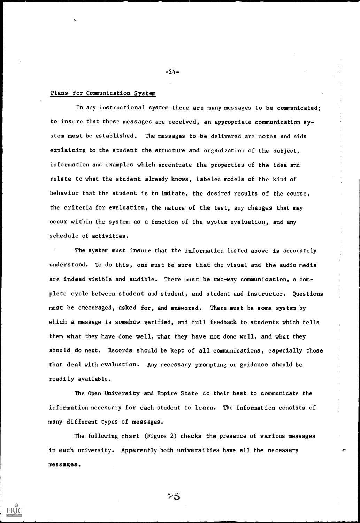#### Plans for Communication System

In any instructional system there are many messages to be communicated; to insure that these messages are received, an appropriate communication system must be established. The messages to be delivered are notes and aids explaining to the student the structure and organization of the subject, information and examples which accentuate the properties of the idea and relate to what the student already knows, labeled models of the kind of behavior that the student is to imitate, the desired results of the course, the criteria for evaluation, the nature of the test, any changes that may occur within the system as a function of the system evaluation, and any schedule of activities.

The system must insure that the information listed above is accurately understood. To do this, one must be sure that the visual and the audio media are indeed visible and audible. There must be two-way communication, a complete cycle between student and student, and student and instructor. Questions must be encouraged, asked for, and answered. There must be some system by which a message is somehow verified, and full feedback to students which tells them what they have done well, what they have not done well, and what they should do next. Records should be kept of all communications, especially those that deal with evaluation. Any necessary prompting or guidance should be readily available.

The Open University and Empire State do their best to communicate the information necessary for each student to learn. The information consists of

 $-24-$ 

many different types of messages.

The following chart (Figure 2) checks the presence of various messages

in each university. Apparently both universities have all the necessary

 $75$ 

messages.

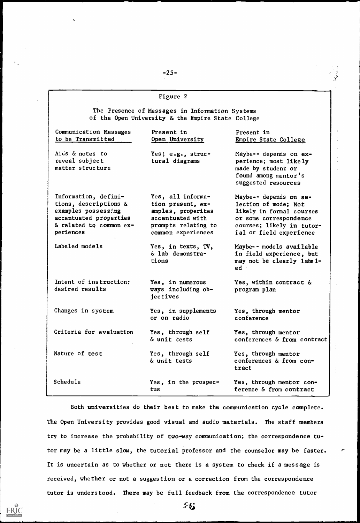$\bar{\mathbf{t}}_i$ 

#### Figure 2

The Presence of Messages in Information Systems of the Open University & the Empire State College

| Communication Messages<br>to be Transmitted                                                                                            | Present in<br>Open University                                                                                                 | Present in<br>Empire State College                                                                                                                           |  |
|----------------------------------------------------------------------------------------------------------------------------------------|-------------------------------------------------------------------------------------------------------------------------------|--------------------------------------------------------------------------------------------------------------------------------------------------------------|--|
| Aius & notes to<br>reveal subject<br>matter structure                                                                                  | Yes; $e.g., struc-$<br>tural diagrams                                                                                         | Maybe-- depends on ex-<br>perience; most likely<br>made by student or<br>found among mentor's<br>suggested resources                                         |  |
| Information, defini-<br>tions, descriptions &<br>examples possessing<br>accentuated properties<br>& related to common ex-<br>periences | Yes, all informa-<br>tion present, ex-<br>amples, properites<br>accentuated with<br>prompts relating to<br>common experiences | Maybe-- depends on se-<br>lection of mode; Not<br>likely in formal courses<br>or some correspondence<br>courses; likely in tutor-<br>ial or field experience |  |
| Labeled models                                                                                                                         | Yes, in texts, TV,<br>$\&$ lab demonstra-<br>tions                                                                            | Maybe -- models available<br>in field experience, but<br>may not be clearly label-<br>$ed \cdot$                                                             |  |
| Intent of instruction:<br>desired results                                                                                              | Yes, in numerous<br>ways including ob-<br>jectives                                                                            | Yes, within contract &<br>program plan                                                                                                                       |  |
| Changes in system                                                                                                                      | Yes, in supplements<br>or on radio                                                                                            | Yes, through mentor<br>conference                                                                                                                            |  |
| Criteria for evaluation                                                                                                                | Yes, through self<br>& unit tests                                                                                             | Yes, through mentor<br>conferences & from contract                                                                                                           |  |
| Nature of test                                                                                                                         | Yes, through self<br>& unit tests                                                                                             | Yes, through mentor<br>conferences & from con-<br>tract                                                                                                      |  |
| Schedule                                                                                                                               | Yes, in the prospec-<br>tus                                                                                                   | Yes, through mentor con-<br>ference & from contract                                                                                                          |  |

Both universities do their best to make the communication cycle complete.

### The Open University provides good visual and audio materials. The staff members

try to increase the probability of two-way communication; the correspondence tu-

tor may be a little slow, the tutorial professor and the counselor may be faster.

It is uncertain as to whether or not there is a system to check if a message is

received, whether or not a suggestion or a correction from the correspondence

tutor is understood. There may be full feedback from the correspondence tutor

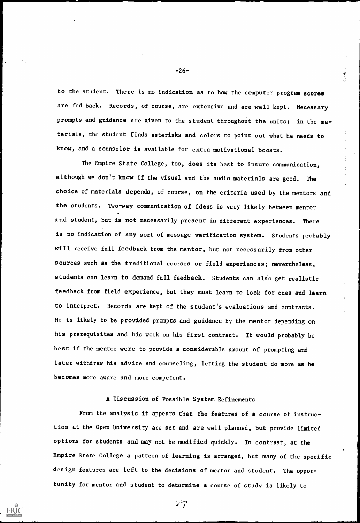to the student. There is no indication as to how the computer program scores are fed back. Records, of course, are extensive and are well kept. Necessary prompts and guidance are given to the student throughout the units: in the materials, the student finds asterisks and colors to point out what he needs to know, and a counselor is available for extra motivational boosts.

The Empire State College, too, does its best to insure communication, although we don't know if the visual and the audio materials are good. The choice of materials depends, of course, on the criteria used by the mentors and the students. Two-way communication of ideas is very likely between mentor and student, but is not necessarily present in different experiences. There is no indication of any sort of message verification system. Students probably will receive full feedback from the mentor, but not necessarily from other sources such as the traditional courses or field experiences; nevertheless, students can learn to demand full feedback. Students can also get realistic feedback from field experience, but they must learn to look for cues and learn to interpret. Records are kept of the student's evaluations and contracts. He is likely to be provided prompts and guidance by the mentor depending on his prerequisites and his work on his first contract. It would probably be best if the mentor were to provide a considerable amount of prompting and later withdraw his advice and counseling, letting the student do more as he becomes more aware and more competent.

#### A Discussion of Possible System Refinements

 $-26-$ 

From the analysis it appears that the features of a course of instruc-

tion at the Open University are set and are well planned, but provide limited

options for students and may not be modified quickly. In contrast, at the

Empire State College a pattern of learning is arranged, but many of the specific

design features are left to the decisions of mentor and student. The oppor-

tunity for mentor and student to determine a course of study is likely to

्र भाषा<br>स



 $\mathbf{L}$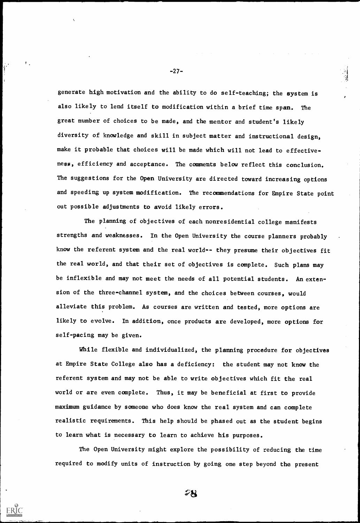generate high motivation and the ability to do self-teaching; the system is also likely to lend itself to modification within a brief time span. The great number of choices to be made, and the mentor and student's likely diversity of knowledge and skill in subject matter and instructional design, make it probable that choices will be made which will not lead to effectiveness, efficiency and acceptance. The comments below reflect this conclusion. The suggestions for the Open University are directed toward increasing options and speeding up system modification. The recommendations for Empire State point out possible adjustments to avoid likely errors.

The planning of objectives of each nonresidential college manifests strengths and weaknesses. In the Open University the course planners probably know the referent system and the real world-- they presume their objectives fit the real world, and that their set of objectives is complete. Such plans may be inflexible and may not meet the needs of all potential students. An extension of the three-channel system, and the choices between courses, would alleviate this problem. As courses are written and tested, more options are likely to evolve. In addition, once products are developed, more options for self-pacing may be given.

While flexible and individualized, the planning procedure for objectives at Empire State College also has a deficiency: the student may not know the referent system and may not be able to write objectives which fit the real world or are even complete. Thus, it may be beneficial at first to provide maximum guidance by someone who does know the real system and can complete

 $-27-$ 

realistic requirements. This help should be phased out as the student begins

to learn what is necessary to learn to achieve his purposes.

The Open University might explore the possibility of reducing the time

required to modify units of instruction by going one step beyond the present



t.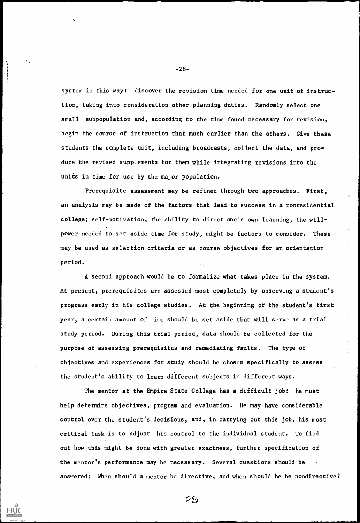-28-

A second approach would be to formalize what takes place in the system. At present, prerequisites are assessed most completely by observing a student's progress early in his college studies. At the beginning of the student's first year, a certain amount of ime should be set aside that will serve as a trial study period. During this trial period, data should be collected for the purpose of assessing prerequisites and remediating faults. The type of objectives and experiences for study should be chosen specifically to assess the student's ability to learn different subjects in different ways.

system in this way: discover the revision time needed for one unit of instruction, taking into consideration other planning duties. Randomly select one small subpopulation and, according to the time found necessary for revision, begin the course of instruction that much earlier than the others. Give these students the complete unit, including broadcasts; collect the data, and produce the revised supplements for them while integrating revisions into the units in time for use by the major population.

Prerequisite assessment may be refined through two approaches. First, an analysis may be made of the factors that lead to success in a nonresidential college; self-motivation, the ability to direct one's own learning, the willpower needed to set aside time for study, might be factors to consider. These may be used as selection criteria or as course objectives for an orientation period.

The mentor at the Empire State College has a difficult job: he must help determine objectives, program and evaluation. He may have considerable

control over the student's decisions, and, in carrying out this job, his most

critical task is to adjust his control to the individual student. To find

out how this might be done with greater exactness, further specification of

the mentor's performance may be necessary. Several questions should be

answered: When should a mentor be directive, and when should he be nondirective?

 $\mathfrak{B}$ 



 $\mathbf{L}$ 

المقطعة بناء<br>المقطعة بناء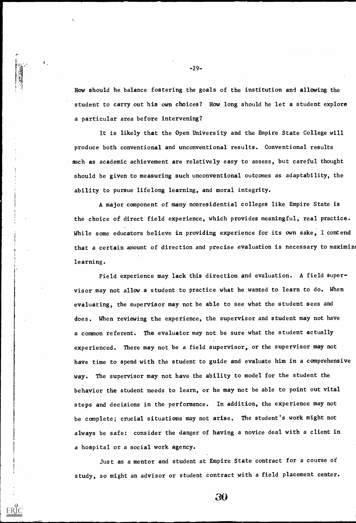How should he balance fostering the goals of the institution and allowing the student to carry out his own choices? How long should he let a student explore a particular area before intervening?

It is likely that the Open University and the Empire State College will produce both conventional and unconventional results. Conventional results such as academic achievement are relatively easy to assess, but careful thought should be given to measuring such unconventional outcomes as adaptability, the ability to pursue lifelong learning, and moral integrity.

A major component of many nonresidential colleges like Empire State is the choice of direct field experience, which provides meaningful, real practice. While some educators believe in providing experience for its own sake, I contend that a certain amount of direction and precise evaluation is necessary to maximize learning.

Field experience may lack this direction and evaluation. A field supervisor may not allow a student to practice what he wanted to learn to do. When evaluating, the supervisor may not be able to see what the student sees and does. When reviewing the experience, the supervisor and student may not have a common referent. The evaluator may not be sure what the student actually experienced. There may not be a field supervisor, or the supervisor may not have time to spend with the student to guide and evaluate him in a comprehensive way. The supervisor may not have the ability to model for the student the behavior the student needs to learn, or he may not be able to point out vital steps and decisions in the performance. In addition, the experience may not

 $-29$ -

 $\mathbf{L}$ 

be complete; crucial situations may not arise. The student's work might not

always be safe: consider the danger of having a novice deal with a client in

a hospital or a social work agency.

Just as a mentor and student at Empire State contract for a course of

 $30$ 

study, so might an advisor or student contract with a field placement center.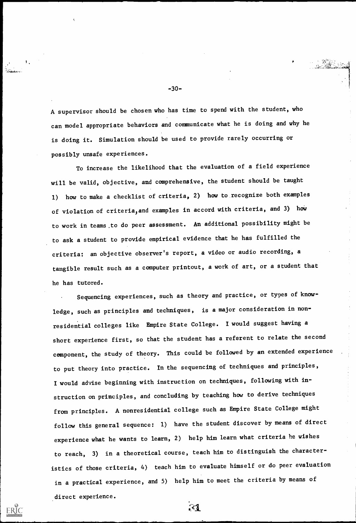-30-

A supervisor should be chosen who has time to spend with the student, who can model appropriate behaviors and communicate what he is doing and why he is doing it. Simulation should be used to provide rarely occurring or possibly unsafe experiences.

To increase the likelihood that the evaluation of a field experience will be valid, objective, and comprehensive, the student should be taught 1) how to make a checklist of criteria, 2) how to recognize both examples of violation of criteria, and examples in accord with criteria, and 3) how to work in teams.to do peer assessment. An additional possibility might be to ask a student to provide empirical evidence that he has fulfilled the criteria: an objective observer's report, a video or audio recording, a tangible result such as a computer printout, a work of art, or a student that he has tutored.

Sequencing experiences, such as theory and practice, or types of knowledge, such as principles and techniques, is a major consideration in nonresidential colleges like Empire State College. I would suggest having a short experience first, so that the student has a referent to relate the second component, the study of theory. This could be followed by an extended experience to put theory into practice. In the sequencing of techniques and principles, I would advise beginning with instruction on techniques, following with instruction on principles, and concluding by teaching how to derive techniques from principles. A nonresidential college such as Empire State College might

follow this general sequence: 1) have the student discover by means of direct

experience what he wants to learn, 2) help him learn what criteria he wishes

to reach, 3) in a theoretical course, teach him to distinguish the character-

istics of those criteria, 4) teach him to evaluate himself or do peer evaluation

in a practical experience, and 5) help him to meet the criteria by means of

direct experience.



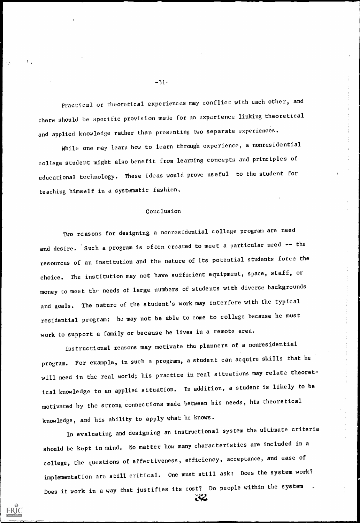Practical or theoretical experiences may conflict with each other, and there should be specific provision made for an experience linking theoretical and applied knowledge rather than presenting two separate experiences.

While one may learn how to learn through experience, a nonresidential college student might also benefit from learning concepts and principles of educational technology. These ideas would prove useful to the student for teaching himself in a systematic fashion.

#### Conclusion

Two reasons for designing a nonresidential college program are need and desire. Such a program is often created to meet a particular need -- the resources of an institution and the nature of its potential students force the choice. The institution may not have sufficient equipment, space, staff, or money to meet the needs of large numbers of students with diverse backgrounds and goals. The nature of the student's work may interfere with the typical residential program: he may not be able to come to college because he must work to support a family or because he lives in a remote area.

Does it work in a way that justifies its cost? Do people within the system  $42$ 



 $\mathbf{L}$ 

Instructional reasons may motivate the planners of a nonresidential program. For example, in such a program, a student can acquire skills that he will need in the real world; his practice in real situations may relate theoretical knowledge to an applied situation. In addition, a student is likely to be motivated by the strong connections made between his needs, his theoretical

 $-31.$ 

knowledge, and his ability to apply what he knows.

In evaluating and designing an instructional system the ultimate criteria

should be kept in mind. No matter how many characteristics are included in a

college, the questions of effectiveness, efficiency, acceptance, and ease of

implementation are still critical. One must still ask: Does the system work?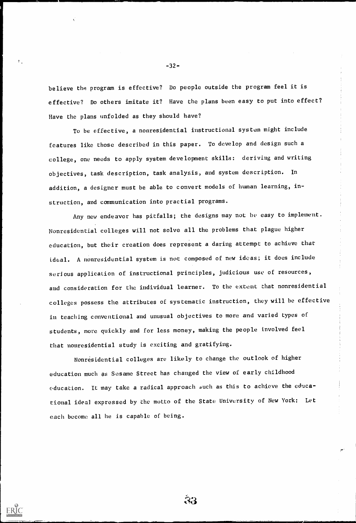believe the program is effective? Do people outside the program feel it is effective? Do others imitate it? Have the plans been easy to put into effect? Have the plans unfolded as they should have?

To be effective, a nonresidential instructional system might include features like those described in this paper. To develop and design such a college, one needs to apply system development skills: deriving and writing objectives, task description, task analysis, and system description. ln addition, a designer must be able to convert models of human learning, instruction, and communication into practial programs.

Any new endeavor has pitfalls; the designs may not be easy to implement. Nonresidential colleges will not solve all the problems that plague higher education, but their creation does represent a daring attempt: to achieve that ideal. A nonresidential system is not composed of new ideas; it does include serious application of instructional principles, judicious use of resources, and consideration for the individual learner. To the extent that nonresidential colleges possess the attributes of systematic instruction, they will be effective in teaching conventional and unusual objectives to more and varied types of students, more quickly and for less money, making the people involved feel that nonresidential study is exciting and gratifying.

Nonresidential colleges are likely to change the outlook of higher education much as Sesame Street has changed the view of early childhood education. It may take a radical approach ouch as this to achieve the educational ideal expressed by the motto of the State University of New York: Let

 $-32-$ 

each become all he is capable of being.





 $\mathcal{V}_{\infty}$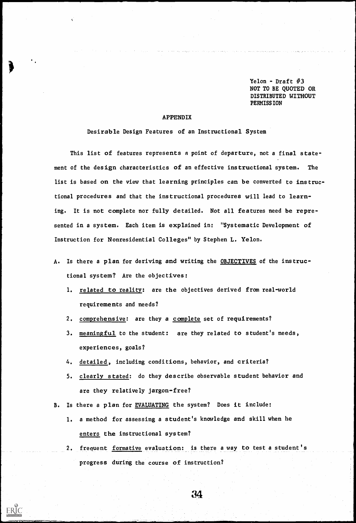Yelon - Draft  $#3$ NOT TO BE QUOTED OR DISTRIBUTED WITHOUT PERMISS ION

#### APPENDIX

 $\bullet$  0.000  $\bullet$ 

ERĬC

 $\bar{\zeta}$ 

Desirable Design Features of an Instructional System

This list of features represents a point of departure, not a final statement of the design characteristics of an effective instructional system. The list is based on the view that learning principles can be converted to instructional procedures and that the instructional procedures will lead to learning. It is not complete nor fully detailed. Not all features need be represented in a system. Each item is explained in: "Systematic Development of Instruction for Nonresidential Colleges" by Stephen L. Yelon.

- A. Is there a plan for deriving and writing the OBJECTIVES of the instructional system? Are the objectives:
	- 1. related to reality: are the objectives derived from real-world requirements and needs?
	- 2. comprehensive: are they a complete set of requirements?
	- 3. meaningful to the student: are they related to student's needs, experiences, goals?
	- 4. detailed, including conditions, behavior, and criteria?
	- 5. clearly stated: do they describe observable student behavior and are they relatively jargon-free?
- Is there a plan for EVALUATING the system? Does it include:

2. frequent formative evaluation: is there a way to test a student's progress during the course of instruction?

34

1. a method for assessing a student's knowledge and skill when he

enters the instructional system?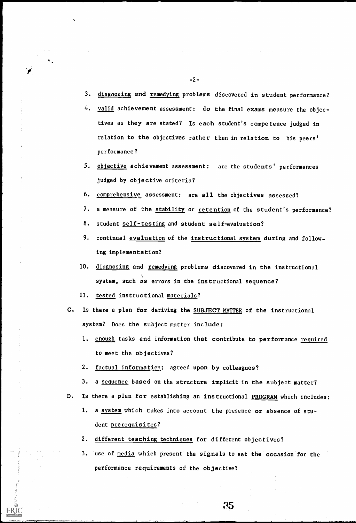-2-

 $\mathcal{L}^{\mathcal{L}}(\mathcal{A})$  and  $\mathcal{L}^{\mathcal{L}}(\mathcal{A})$ 

3. diagnosing and remedying problems discovered in student performance?

 $\mathcal{L}^{\mathcal{L}}$  and the set of the set of the set of the set of the set of the set of the set of the set of the set of the set of the set of the set of the set of the set of the set of the set of the set of the set of the

- 4. valid achievement assessment: do the final exams measure the objectives as they are stated? Is each student's competence judged in relation to the objectives rather than in relation to his peers' performance?
- 5. objective achievement assessment: are the students' performances judged by objective criteria?
- 6. comprehensive assessment: are all the objectives assessed?
- 7. a measure of the stability or retention of the student's performance?
- 8. student self-testing and student self-evaluation?
- 9. continual evaluation of the instructional system during and following implementation?
- 10. diagnosing and remedying problems discovered in the instructional system, such as errors in the instructional sequence?
- 11. tested instructional materials?

- C. Is there a plan for deriving the SUBJECT MATTER of the instructional system? Does the subject matter include:
	- 1. enough tasks and information that contribute to performance required to meet the objectives?
	- 2. factual information: agreed upon by colleagues?
	- 3. a sequence based on the structure implicit in the subject matter?
- D. Is there a plan for establishing an instructional PROGRAM which includes:

 $\mathbf{t}_i$ 

1. a system which takes into account the presence or absence of stu-

 $\sim 10^{11}$  km  $^{-1}$ 

dent prerequisites?

 $\mathbf{r}$ 

 $\mathcal{F}_{\mathcal{A}}$ 

2. different teaching techniques for different objectives?

use of media which present the signals to set the occasion for the

35

performance requirements of the objective?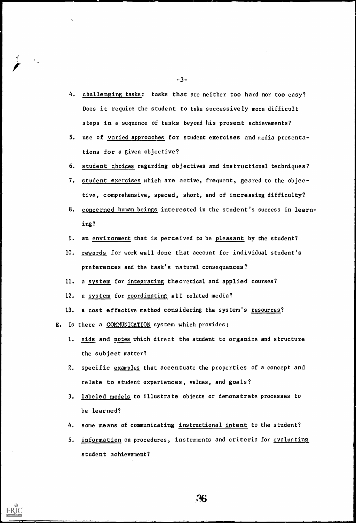-3-

- 4. challenging tasks: tasks that are neither too hard nor too easy? Does it require the student to take successively more difficult steps in a sequence of tasks beyond his present achievements?
- 5. use of varied approaches for student exercises and media presentations for a given objective?
- 6. student choices regarding objectives and instructional techniques?
- 7. student exercises which are active, frequent, geared to the objective, comprehensive, spaced, short, and of increasing difficulty?
- 8. concerned human beings interested in the student's success in learning?
- 9. an environment that is perceived to be pleasant by the student?
- 10. rewards for work well done that account for individual student's preferences and the task's natural consequences?
- 11. a system for integrating theoretical and applied courses?
- 12. a system for coordinating all related media?
- 13. a cost effective method considering the system's resources?
- E. Is there a COMMUNICATION system which provides:
	- 1. aids and notes which direct the student to organize and structure the subject matter?
	- 2. specific examples that accentuate the properties of a concept and relate to student experiences, values, and goals?
	- 3. labeled models to illustrate objects or demonstrate processes to

#### be learned?

 $\tilde{\mathcal{L}}$ 

 $\mathcal{F}_\alpha$ 

- 4. some means of communicating instructional intent to the student?
- 5. information on procedures, instruments and criteria for evaluating

student achievement?



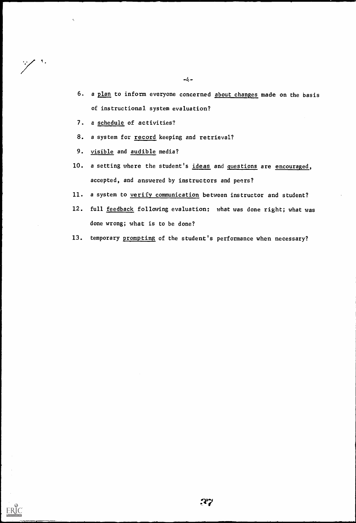- 6. a plan to inform everyone concerned about changes made on the basis of instructional system evaluation?
- 7. a schedule of activities?

 $\tilde{\zeta}$ 

 $\mathscr{S}^{\mathcal{S}}$ 

- 8. a system for record keeping and retrieval?
- 9. visible and audible media?
- 10. a setting where the student's ideas and questions are encouraged, accepted, and answered by instructors and peers?
- 11. a system to verify communication between instructor and student?
- 12. full feedback following evaluation: what was done right; what was done wrong; what is to be done?
- 13. temporary prompting of the student's performance when necessary?

 $-\frac{1}{2}$ 



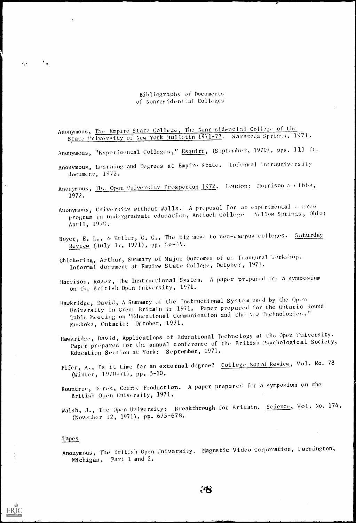$Bibliography of$  Documents of Nonresidential Colleges

Anonymous, The Empire State College, The Nonresident in1 College of the State l'niversity of New York Bulletin 1971-72. Saratoga Springs, 1971.

- Anonymous, "Experimental Colleges," Esquire, (September, 1970), pps. 111 ft.
- Anonymous, Learning and Degrees at Empire State. Informal intrauniversity document, 1972.
- Anonymous, The Open Cniversity Prospectus 1972. London: Morrison & Gibbs, 1972.
- Anonymous, University without Walls. A proposal for an experimental degree program in undergraduate education, Antioch College - Yellow Springs, Ohio: April, 1970.
- Boyer, E. L., & Keller, G. C., The big move to non-campus colleges. Saturday Review (July 17, 1971), pp.  $46-49$ .
- Chickering, Arthur, Summary of Major Outcomes of an Inaugural Workshop. Informal document at Empire State College, October, 1971.
- Harrison, Roger, The Instructional System. A paper prepared for a symposium on the British Open University, 1971.
- Hawkridge, David, A Summary of the Instructional System used by the Open University in Great Britain in 1971. Paper prepared for the Ontario Round Table Meeting on "Educational Communication and the New Technologies." Muskoka, Ontario: October, 1971.
- Hawkridge, Day id, Applications of Educational Technology at the. Open University. Paper prepared for the annual conference of the British Psychological Society, Education Section at York : September, 1971.
- Pifer, A., Is it time for an external degree? College Board Review, Vol. No. 78 (Winter, 1970-71) , pp. 5-10.
- Rountree, Derek, Course Production. A paper prepared for a symposium on the British Open University, 1971.

Walsh, J., The Open University: Breakthrough for Britain. Science, Vol. No. 174, (November 12, 1971), pp. 675-678.

#### Tapes

 $\mathcal{L}_\mathrm{c}$ 

 $\mathcal{F}_{\bullet}$ 

 $\ddot{\phantom{a}}$ 

Anonymous, The British Open University. Magnetic Video Corporation, Farmington, Michigan. Part 1 and 2.

 $\ddot{\bm{\delta}}$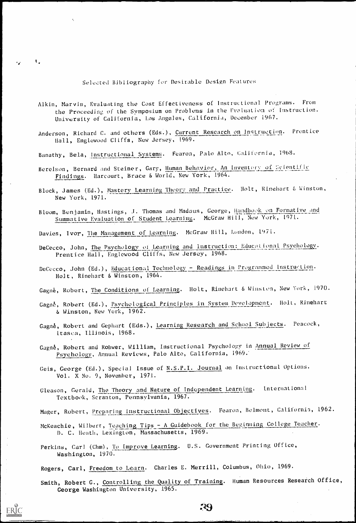Selected Bibliography for Desirable Design Features

 $\tilde{\mathcal{L}}_k$ 

 $\mathbf{1}_{\bullet}$ 

- Alkin, Marvin, Evaluating the Cost Effectiveness of Instructional Programs. From the Proceeding of the Symposium on Problems in the Evoluation of instruction. University of California, Los Angeles, California, December 1967.
- Anderson, Richard C. and others (Eds.), Current Research on Instruction. Prentice Hall, Englewood Cliffs, New Jersey, 1969.
- . Banathy, Bela, instructional Systems. Fearon, Palo Alto, Cali fornia, 1968. . \_ . \_ \_ \_ \_ \_
- Berelson, Bernard and Steiner, Gary, Human Behavior, An Inventory of Scientific Findings. Harcourt, Brace & World, New York, 1964.
- Block, James (Ed.), Mastery Learning Theory and Practice. Holt, Rinehart & Winston, New York, 1971.
- Bloom, Benjamin, Hastings, J. Thomas and Madaus, George, Handbook on Formative and Summative Evaluation of Student Learning. McGraw Hill, New York, 1971-
- Davies, Ivor, The Management of Learning. McGraw Hill, London, 1971.
- DeCecco, John, The Psychology of Learning and Instruction: Educational Psychology. Prentice Hall, Englewood Cliffs, New Jersey, 1968.
- DeCecco, John (Ed.), Educational Technology Readings in Programmed Instruction. Holt, Rinehart & Winston, 1964.
- Gagn6, Robert, The Conditions of Learning. Holt, Rinehart & Winston, New York, 1970.
- Gagné, Robert (Ed.), Psychological Principles in System Development. Holt, Rinehart & Winston, New York, 1962.
- Gagné, Robert and Gephart (Eds.), Learning Research and School Subjects. Peacock, Itasca, Illinois, 1968.
- Gagn6, Robert and Rohwer, William, instructional Psychology in Annual Review of Psychology, Annual Reviews, Palo Alto, California, 1969:
- Geis, George (Ed.), Special Issue of N.S.P.I. Journal on Instructional Options. Vol. X No. 9, November, 1971.
- Gleason, Gerald, The Theory and Nature of Independent Learning. International Textbook, Scranton, Pennsylvania, 1967.

Mager, Robert, Preparing Instructional Objectives. Fearon, Belmont, California, 1962.

McKeachie, Wilbert, Teaching Tips - A Guidebook for the Beginning College Teacher. D. C. Heath, Lexington, Massachusetts, 1969.

Perkins, Carl (Chm), To Improve Learning. U.S. Government Printing Office, Washington, 1970.

Smith, Robert G., Controlling the Quality of Training. Human Resources Research Office, George Washington University, 1965.

Rogers, Carl, Freedom to Learn. Charles E. Merrill, Columbus, Ohio, 1969.

:49

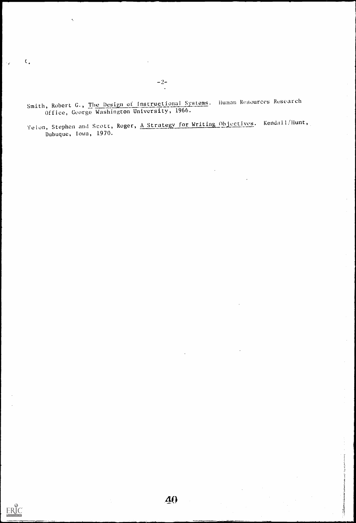Smith, Robert G., <u>The Design of Instructional Systems</u>. Human Resources Research Office, George Washington University, 1966.

Yelon, Stephen and Scott, Roger, A Strategy for Writing Objectives. Kendall/Hunt, Dubuque, Iowa, 1970.

 $-2-$ 

 $\ddot{\phantom{a}}$ 

 $\mathfrak{c}_*$ 

 $\mathcal{L}$ 

ILO